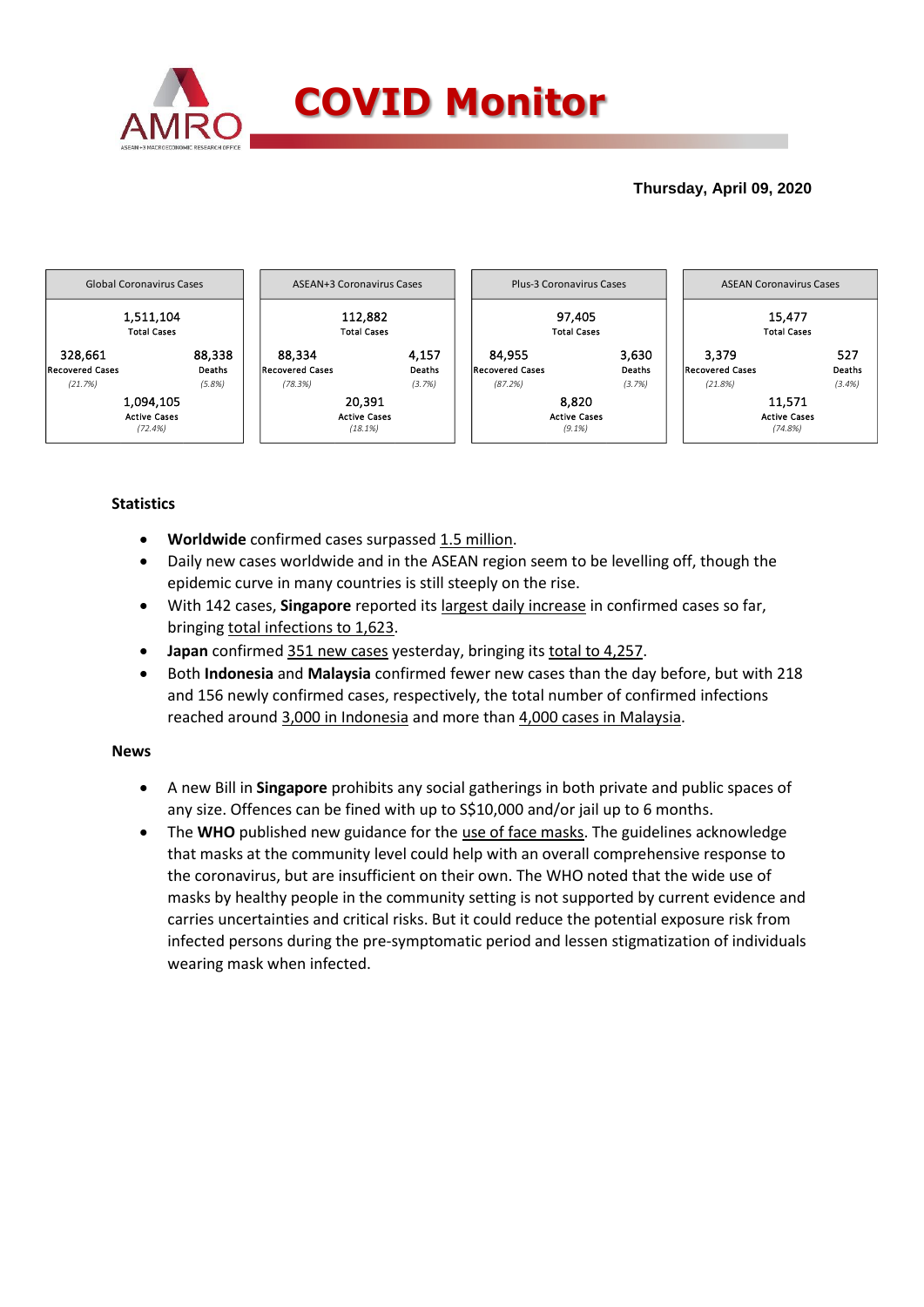

# **Thursday, April 09, 2020**



# **Statistics**

- **Worldwide** confirmed cases surpassed 1.5 million.
- Daily new cases worldwide and in the ASEAN region seem to be levelling off, though the epidemic curve in many countries is still steeply on the rise.
- With 142 cases, **Singapore** reported its largest daily increase in confirmed cases so far, bringing total infections to 1,623.
- **Japan** confirmed 351 new cases yesterday, bringing its total to 4,257.
- Both **Indonesia** and **Malaysia** confirmed fewer new cases than the day before, but with 218 and 156 newly confirmed cases, respectively, the total number of confirmed infections reached around 3,000 in Indonesia and more than 4,000 cases in Malaysia.

### **News**

- A new Bill in **Singapore** prohibits any social gatherings in both private and public spaces of any size. Offences can be fined with up to S\$10,000 and/or jail up to 6 months.
- The WHO published new guidance for the use of face masks. The guidelines acknowledge that masks at the community level could help with an overall comprehensive response to the coronavirus, but are insufficient on their own. The WHO noted that the wide use of masks by healthy people in the community setting is not supported by current evidence and carries uncertainties and critical risks. But it could reduce the potential exposure risk from infected persons during the pre-symptomatic period and lessen stigmatization of individuals wearing mask when infected.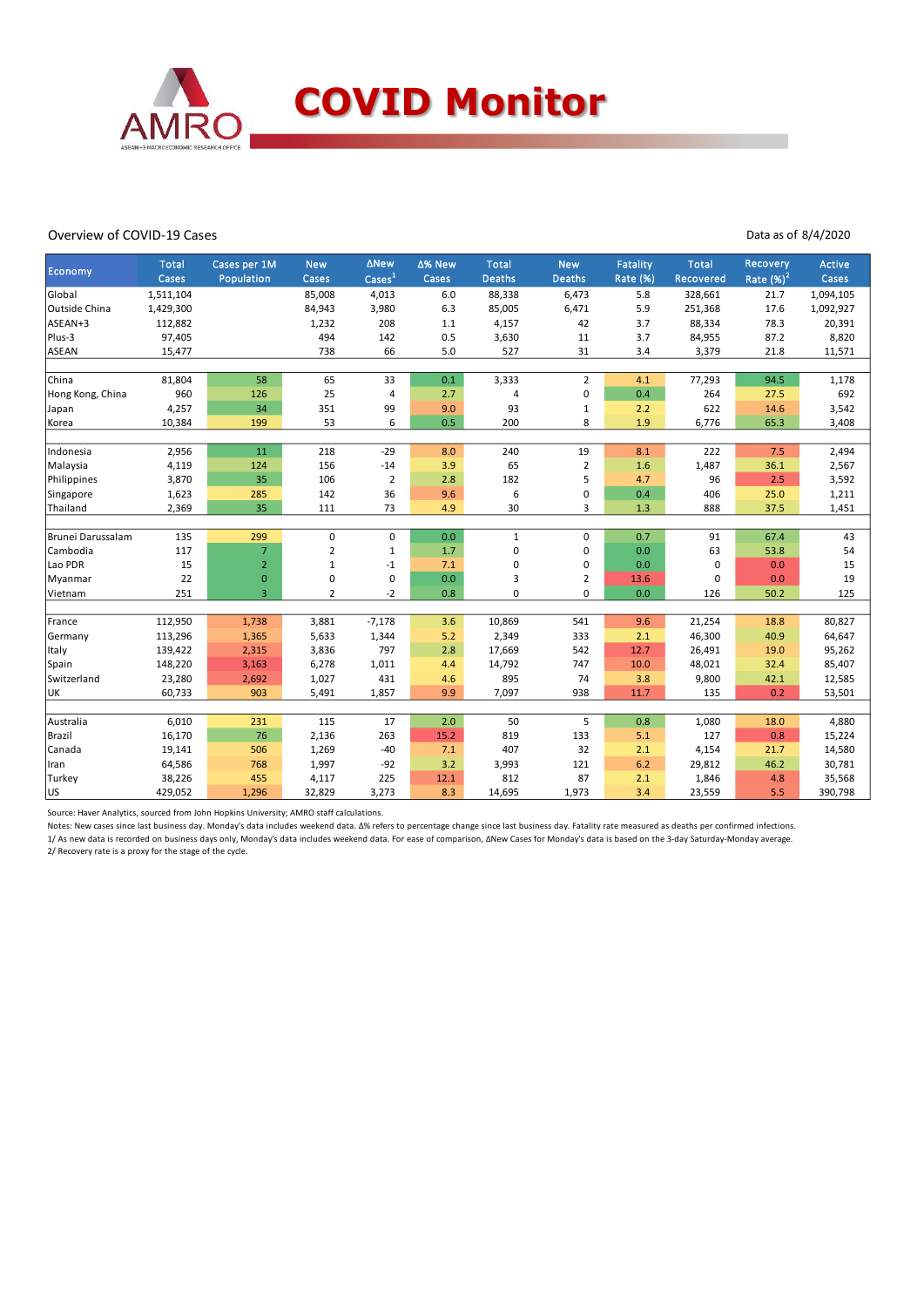

#### Overview of COVID-19 Cases

Data as of 8/4/2020

| <b>Economy</b>    | <b>Total</b><br>Cases | Cases per 1M<br>Population | <b>New</b><br>Cases | ∆New<br>$\text{Case}$ <sup>1</sup> | ∆% New<br>Cases | <b>Total</b><br><b>Deaths</b> | <b>New</b><br>Deaths | <b>Fatality</b><br>Rate (%) | <b>Total</b><br>Recovered | Recovery<br>Rate $(\%)^2$ | <b>Active</b><br>Cases |
|-------------------|-----------------------|----------------------------|---------------------|------------------------------------|-----------------|-------------------------------|----------------------|-----------------------------|---------------------------|---------------------------|------------------------|
| Global            | 1,511,104             |                            | 85,008              | 4,013                              | 6.0             | 88,338                        | 6,473                | 5.8                         | 328,661                   | 21.7                      | 1,094,105              |
| Outside China     | 1,429,300             |                            | 84,943              | 3,980                              | 6.3             | 85,005                        | 6,471                | 5.9                         | 251,368                   | 17.6                      | 1,092,927              |
| ASEAN+3           | 112,882               |                            | 1,232               | 208                                | $1.1\,$         | 4,157                         | 42                   | 3.7                         | 88,334                    | 78.3                      | 20,391                 |
| Plus-3            | 97,405                |                            | 494                 | 142                                | 0.5             | 3,630                         | 11                   | 3.7                         | 84,955                    | 87.2                      | 8,820                  |
| <b>ASEAN</b>      | 15,477                |                            | 738                 | 66                                 | 5.0             | 527                           | 31                   | 3.4                         | 3,379                     | 21.8                      | 11,571                 |
|                   |                       |                            |                     |                                    |                 |                               |                      |                             |                           |                           |                        |
| China             | 81,804                | 58                         | 65                  | 33                                 | $0.1\,$         | 3,333                         | 2                    | 4.1                         | 77,293                    | 94.5                      | 1,178                  |
| Hong Kong, China  | 960                   | 126                        | 25                  | 4                                  | 2.7             | 4                             | 0                    | 0.4                         | 264                       | 27.5                      | 692                    |
| Japan             | 4,257                 | 34                         | 351                 | 99                                 | 9.0             | 93                            | $\mathbf 1$          | 2.2                         | 622                       | 14.6                      | 3,542                  |
| Korea             | 10,384                | 199                        | 53                  | 6                                  | 0.5             | 200                           | 8                    | 1.9                         | 6,776                     | 65.3                      | 3,408                  |
| Indonesia         | 2,956                 | 11                         | 218                 | $-29$                              | 8.0             | 240                           | 19                   | 8.1                         | 222                       | 7.5                       | 2,494                  |
| Malaysia          | 4,119                 | 124                        | 156                 | $-14$                              | 3.9             | 65                            | $\overline{2}$       | 1.6                         | 1,487                     | 36.1                      | 2,567                  |
| Philippines       | 3,870                 | 35                         | 106                 | $\overline{2}$                     | 2.8             | 182                           | 5                    | 4.7                         | 96                        | 2.5                       | 3,592                  |
| Singapore         | 1,623                 | 285                        | 142                 | 36                                 | 9.6             | 6                             | 0                    | 0.4                         | 406                       | 25.0                      | 1,211                  |
| Thailand          | 2,369                 | 35                         | 111                 | 73                                 | 4.9             | 30                            | 3                    | 1.3                         | 888                       | 37.5                      | 1,451                  |
|                   |                       |                            |                     |                                    |                 |                               |                      |                             |                           |                           |                        |
| Brunei Darussalam | 135                   | 299                        | 0                   | 0                                  | 0.0             | $\mathbf{1}$                  | 0                    | 0.7                         | 91                        | 67.4                      | 43                     |
| Cambodia          | 117                   | $\overline{7}$             | 2                   | $\mathbf 1$                        | 1.7             | 0                             | 0                    | 0.0                         | 63                        | 53.8                      | 54                     |
| Lao PDR           | 15                    | $\overline{2}$             | 1                   | $-1$                               | 7.1             | 0                             | 0                    | 0.0                         | 0                         | 0.0                       | 15                     |
| Myanmar           | 22                    | $\pmb{0}$                  | 0                   | 0                                  | 0.0             | 3                             | 2                    | 13.6                        | 0                         | 0.0                       | 19                     |
| Vietnam           | 251                   | $\overline{3}$             | $\overline{2}$      | $-2$                               | 0.8             | 0                             | 0                    | 0.0                         | 126                       | 50.2                      | 125                    |
|                   |                       |                            |                     |                                    |                 |                               |                      |                             |                           |                           |                        |
| France            | 112,950               | 1,738                      | 3,881               | $-7,178$                           | 3.6             | 10,869                        | 541                  | 9.6                         | 21,254                    | 18.8                      | 80,827                 |
| Germany           | 113,296               | 1,365                      | 5,633               | 1,344                              | 5.2             | 2,349                         | 333                  | 2.1                         | 46,300                    | 40.9                      | 64,647                 |
| Italy             | 139,422               | 2,315                      | 3,836               | 797                                | 2.8             | 17,669                        | 542                  | 12.7                        | 26,491                    | 19.0                      | 95,262                 |
| Spain             | 148,220               | 3,163                      | 6,278               | 1,011                              | 4.4             | 14,792                        | 747                  | 10.0                        | 48,021                    | 32.4                      | 85,407                 |
| Switzerland       | 23,280                | 2,692                      | 1,027               | 431                                | 4.6             | 895                           | 74                   | 3.8                         | 9,800                     | 42.1                      | 12,585                 |
| UK                | 60,733                | 903                        | 5,491               | 1,857                              | 9.9             | 7,097                         | 938                  | 11.7                        | 135                       | 0.2                       | 53,501                 |
|                   |                       |                            |                     |                                    |                 |                               |                      |                             |                           |                           |                        |
| Australia         | 6,010                 | 231                        | 115                 | 17                                 | 2.0             | 50                            | 5                    | 0.8                         | 1,080                     | 18.0                      | 4,880                  |
| Brazil            | 16,170                | 76                         | 2,136               | 263                                | 15.2            | 819                           | 133                  | 5.1                         | 127                       | 0.8                       | 15,224                 |
| Canada            | 19,141                | 506                        | 1,269               | $-40$                              | 7.1             | 407                           | 32                   | 2.1                         | 4,154                     | 21.7                      | 14,580                 |
| Iran              | 64,586                | 768                        | 1,997               | $-92$                              | 3.2             | 3,993                         | 121                  | 6.2                         | 29,812                    | 46.2                      | 30,781                 |
| Turkey            | 38,226                | 455                        | 4,117               | 225                                | 12.1            | 812                           | 87                   | 2.1                         | 1,846                     | 4.8                       | 35,568                 |
| lus               | 429,052               | 1,296                      | 32,829              | 3,273                              | 8.3             | 14,695                        | 1,973                | 3.4                         | 23,559                    | 5.5                       | 390,798                |

Source: Haver Analytics, sourced from John Hopkins University; AMRO staff calculations.

Notes: New cases since last business day. Monday's data includes weekend data. Δ% refers to percentage change since last business day. Fatality rate measured as deaths per confirmed infections.

1/ As new data is recorded on business days only, Monday's data includes weekend data. For ease of comparison, ΔNew Cases for Monday's data is based on the 3-day Saturday-Monday average. 2/ Recovery rate is a proxy for the stage of the cycle.